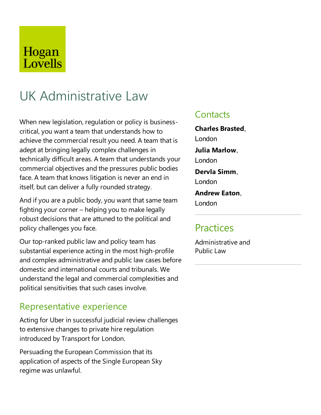## Hogan Lovells

# UK Administrative Law

When new legislation, regulation or policy is businesscritical, you want a team that understands how to achieve the commercial result you need. A team that is adept at bringing legally complex challenges in technically difficult areas. A team that understands your commercial objectives and the pressures public bodies face. A team that knows litigation is never an end in itself, but can deliver a fully rounded strategy.

And if you are a public body, you want that same team fighting your corner – helping you to makelegally robust decisions that are attuned to the political and policy challenges you face.

Our top-ranked public law and policy team has substantial experience acting in the most high-profile and complex administrative and public law cases before domesticand international courts and tribunals. We understand the legal and commercial complexities and political sensitivities that such cases involve.

### Representative experience

Acting for Uber in successful judicial review challenges to extensive changes to private hire regulation introduced by Transport for London.

Persuading the European Commission that its application of aspects of the Single European Sky regime was unlawful.

### **Contacts**

**Charles Brasted**, London **Julia Marlow**, London **Dervla Simm**, London **Andrew Eaton**, London

### **Practices**

Administrative and Public Law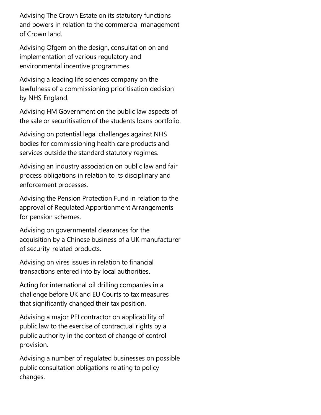Advising The Crown Estate on its statutory functions and powers in relation to the commercial management of Crown land.

Advising Ofgem on the design, consultation on and implementation of various regulatory and environmental incentive programmes.

Advising a leading life sciences company on the lawfulness of a commissioning prioritisation decision by NHS England.

Advising HM Government on the public law aspects of the sale or securitisation of the students loans portfolio.

Advising on potential legal challenges against NHS bodies for commissioning health care products and services outside the standard statutory regimes.

Advising an industry association on public law and fair process obligations in relation to its disciplinary and enforcement processes.

Advising the Pension Protection Fund in relation to the approval of Regulated Apportionment Arrangements for pension schemes.

Advising on governmental clearances for the acquisition by a Chinese business of a UK manufacturer of security-related products.

Advising on vires issues in relation to financial transactions entered into by local authorities.

Acting for international oil drilling companies in a challenge before UK and EU Courts to tax measures that significantly changed their tax position.

Advising a major PFI contractor on applicability of public law to the exercise of contractual rights by a public authority in the context of change of control provision.

Advising a number of regulated businesses on possible public consultation obligations relating to policy changes.